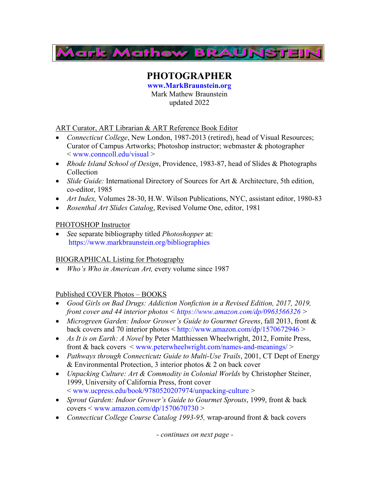

# **PHOTOGRAPHER**

**www.MarkBraunstein.org** Mark Mathew Braunstein updated 2022

ART Curator, ART Librarian & ART Reference Book Editor

- *Connecticut College*, New London, 1987-2013 (retired), head of Visual Resources; Curator of Campus Artworks; Photoshop instructor; webmaster & photographer < www.conncoll.edu/visual >
- *Rhode Island School of Design*, Providence, 1983-87, head of Slides & Photographs Collection
- *Slide Guide:* International Directory of Sources for Art & Architecture, 5th edition, co-editor, 1985
- *Art Index,* Volumes 28-30, H.W. Wilson Publications, NYC, assistant editor, 1980-83
- *Rosenthal Art Slides Catalog*, Revised Volume One, editor, 1981

## PHOTOSHOP Instructor

• *S*ee separate bibliography titled *Photoshopper* at: https://www.markbraunstein.org/bibliographies

### BIOGRAPHICAL Listing for Photography

• *Who's Who in American Art,* every volume since 1987

# Published COVER Photos – BOOKS

- *Good Girls on Bad Drugs: Addiction Nonfiction in a Revised Edition, 2017, 2019, front cover and 44 interior photos < https://www.amazon.com/dp/0963566326 >*
- *Microgreen Garden: Indoor Grower's Guide to Gourmet Greens*, fall 2013, front & back covers and 70 interior photos < http://www.amazon.com/dp/1570672946 >
- *As It is on Earth: A Novel* by Peter Matthiessen Wheelwright, 2012, Fomite Press, front & back covers < www.peterwheelwright.com/names-and-meanings/ >
- *Pathways through Connecticut: Guide to Multi-Use Trails*, 2001, CT Dept of Energy & Environmental Protection, 3 interior photos & 2 on back cover
- *Unpacking Culture: Art & Commodity in Colonial Worlds* by Christopher Steiner, 1999, University of California Press, front cover < www.ucpress.edu/book/9780520207974/unpacking-culture >
- *Sprout Garden: Indoor Grower's Guide to Gourmet Sprouts*, 1999, front & back  $covers <$  www.amazon.com/dp/1570670730 >
- *Connecticut College Course Catalog 1993-95,* wrap-around front & back covers

*- continues on next page -*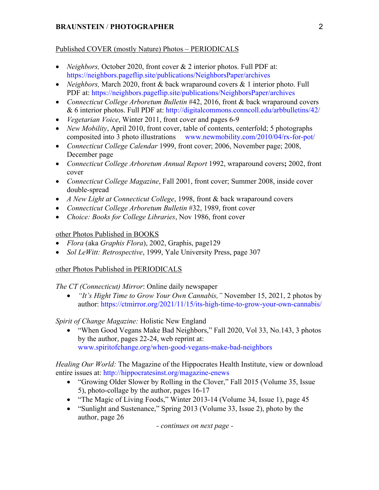### Published COVER (mostly Nature) Photos – PERIODICALS

- *Neighbors, October 2020, front cover & 2 interior photos. Full PDF at:* https://neighbors.pageflip.site/publications/NeighborsPaper/archives
- *Neighbors, March 2020, front & back wraparound covers & 1 interior photo. Full* PDF at: https://neighbors.pageflip.site/publications/NeighborsPaper/archives
- *Connecticut College Arboretum Bulletin* #42, 2016, front & back wraparound covers & 6 interior photos. Full PDF at: http://digitalcommons.conncoll.edu/arbbulletins/42/
- *Vegetarian Voice*, Winter 2011, front cover and pages 6-9
- *New Mobility*, April 2010, front cover, table of contents, centerfold; 5 photographs composited into 3 photo illustrations www.newmobility.com/2010/04/rx-for-pot/
- *Connecticut College Calendar* 1999, front cover; 2006, November page; 2008, December page
- *Connecticut College Arboretum Annual Report* 1992, wraparound covers**;** 2002, front cover
- *Connecticut College Magazine*, Fall 2001, front cover; Summer 2008, inside cover double-spread
- *A New Light at Connecticut College*, 1998, front & back wraparound covers
- *Connecticut College Arboretum Bulletin* #32, 1989, front cover
- *Choice: Books for College Libraries*, Nov 1986, front cover

### other Photos Published in BOOKS

- *Flora* (aka *Graphis Flora*), 2002, Graphis, page129
- *Sol LeWitt: Retrospective*, 1999, Yale University Press, page 307

### other Photos Published in PERIODICALS

*The CT (Connecticut) Mirror*: Online daily newspaper

• *"It's Hight Time to Grow Your Own Cannabis,"* November 15, 2021, 2 photos by author: https://ctmirror.org/2021/11/15/its-high-time-to-grow-your-own-cannabis/

# *Spirit of Change Magazine:* Holistic New England

• "When Good Vegans Make Bad Neighbors," Fall 2020, Vol 33, No.143, 3 photos by the author, pages 22-24, web reprint at: www.spiritofchange.org/when-good-vegans-make-bad-neighbors

*Healing Our World:* The Magazine of the Hippocrates Health Institute, view or download entire issues at: http://hippocratesinst.org/magazine-enews

- "Growing Older Slower by Rolling in the Clover," Fall 2015 (Volume 35, Issue 5), photo-collage by the author, pages 16-17
- "The Magic of Living Foods," Winter 2013-14 (Volume 34, Issue 1), page 45
- "Sunlight and Sustenance," Spring 2013 (Volume 33, Issue 2), photo by the author, page 26

*- continues on next page -*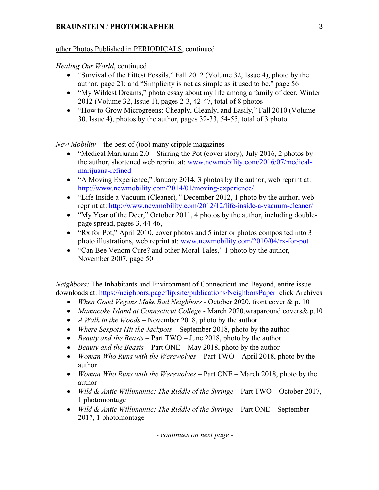#### other Photos Published in PERIODICALS, continued

#### *Healing Our World*, continued

- "Survival of the Fittest Fossils," Fall 2012 (Volume 32, Issue 4), photo by the author, page 21; and "Simplicity is not as simple as it used to be," page 56
- "My Wildest Dreams," photo essay about my life among a family of deer, Winter 2012 (Volume 32, Issue 1), pages 2-3, 42-47, total of 8 photos
- "How to Grow Microgreens: Cheaply, Cleanly, and Easily," Fall 2010 (Volume 30, Issue 4), photos by the author, pages 32-33, 54-55, total of 3 photo

*New Mobility* – the best of (too) many cripple magazines

- "Medical Marijuana  $2.0 -$  Stirring the Pot (cover story), July 2016, 2 photos by the author, shortened web reprint at: www.newmobility.com/2016/07/medicalmarijuana-refined
- "A Moving Experience," January 2014, 3 photos by the author, web reprint at: http://www.newmobility.com/2014/01/moving-experience/
- "Life Inside a Vacuum (Cleaner)*,"* December 2012, 1 photo by the author, web reprint at: http://www.newmobility.com/2012/12/life-inside-a-vacuum-cleaner/
- "My Year of the Deer," October 2011, 4 photos by the author, including doublepage spread, pages 3, 44-46,
- "Rx for Pot," April 2010, cover photos and 5 interior photos composited into 3 photo illustrations, web reprint at: www.newmobility.com/2010/04/rx-for-pot
- "Can Bee Venom Cure? and other Moral Tales," 1 photo by the author, November 2007, page 50

*Neighbors:* The Inhabitants and Environment of Connecticut and Beyond, entire issue downloads at: https://neighbors.pageflip.site/publications/NeighborsPaper click Archives

- *When Good Vegans Make Bad Neighbors* October 2020, front cover & p. 10
- *Mamacoke Island at Connecticut College* March 2020,wraparound covers& p.10
- *A Walk in the Woods* November 2018, photo by the author
- *Where Sexpots Hit the Jackpots*  September 2018, photo by the author
- *Beauty and the Beasts*  Part TWO June 2018, photo by the author
- *Beauty and the Beasts*  Part ONE May 2018, photo by the author
- *Woman Who Runs with the Werewolves*  Part TWO April 2018, photo by the author
- *Woman Who Runs with the Werewolves* Part ONE March 2018, photo by the author
- *Wild & Antic Willimantic: The Riddle of the Syringe* Part TWO October 2017, 1 photomontage
- *Wild & Antic Willimantic: The Riddle of the Syringe* Part ONE September 2017, 1 photomontage

*- continues on next page -*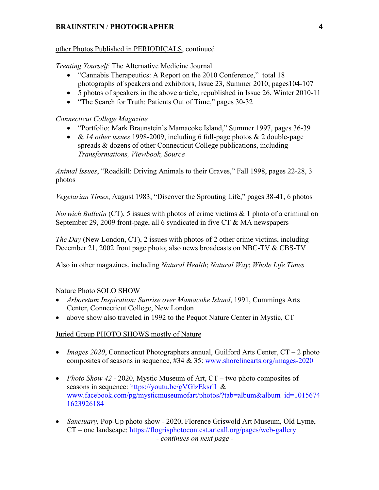#### other Photos Published in PERIODICALS, continued

*Treating Yourself*: The Alternative Medicine Journal

- "Cannabis Therapeutics: A Report on the 2010 Conference," total 18 photographs of speakers and exhibitors, Issue 23, Summer 2010, pages104-107
- 5 photos of speakers in the above article, republished in Issue 26, Winter 2010-11
- "The Search for Truth: Patients Out of Time," pages 30-32

### *Connecticut College Magazine*

- "Portfolio: Mark Braunstein's Mamacoke Island," Summer 1997, pages 36-39
- & *14 other issues* 1998-2009, including 6 full-page photos & 2 double-page spreads & dozens of other Connecticut College publications, including *Transformations, Viewbook, Source*

*Animal Issues*, "Roadkill: Driving Animals to their Graves," Fall 1998, pages 22-28, 3 photos

*Vegetarian Times*, August 1983, "Discover the Sprouting Life," pages 38-41, 6 photos

*Norwich Bulletin* (CT), 5 issues with photos of crime victims & 1 photo of a criminal on September 29, 2009 front-page, all 6 syndicated in five CT & MA newspapers

*The Day* (New London, CT), 2 issues with photos of 2 other crime victims, including December 21, 2002 front page photo; also news broadcasts on NBC-TV & CBS-TV

Also in other magazines, including *Natural Health*; *Natural Way*; *Whole Life Times*

### Nature Photo SOLO SHOW

- *Arboretum Inspiration: Sunrise over Mamacoke Island*, 1991, Cummings Arts Center, Connecticut College, New London
- above show also traveled in 1992 to the Pequot Nature Center in Mystic, CT

### Juried Group PHOTO SHOWS mostly of Nature

- *Images 2020*, Connecticut Photographers annual, Guilford Arts Center, CT 2 photo composites of seasons in sequence, #34 & 35: www.shorelinearts.org/images-2020
- *Photo Show 42 2020*, Mystic Museum of Art, CT two photo composites of seasons in sequence: https://youtu.be/gVGlzEksrlI & www.facebook.com/pg/mysticmuseumofart/photos/?tab=album&album\_id=1015674 1623926184
- *Sanctuary*, Pop-Up photo show 2020, Florence Griswold Art Museum, Old Lyme, CT – one landscape: https://flogrisphotocontest.artcall.org/pages/web-gallery *- continues on next page -*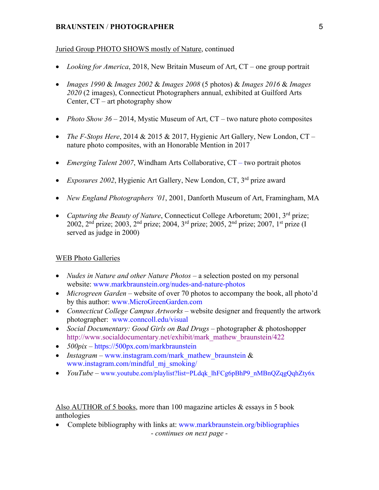#### Juried Group PHOTO SHOWS mostly of Nature, continued

- *Looking for America*, 2018, New Britain Museum of Art, CT one group portrait
- *Images 1990* & *Images 2002* & *Images 2008* (5 photos) & *Images 2016* & *Images 2020* (2 images), Connecticut Photographers annual, exhibited at Guilford Arts Center,  $CT - art$  photography show
- *Photo Show 36* 2014, Mystic Museum of Art, CT two nature photo composites
- *The F-Stops Here*, 2014 & 2015 & 2017, Hygienic Art Gallery, New London, CT nature photo composites, with an Honorable Mention in 2017
- *Emerging Talent 2007*, Windham Arts Collaborative, CT two portrait photos
- *Exposures 2002*, Hygienic Art Gallery, New London, CT, 3rd prize award
- *New England Photographers '01*, 2001, Danforth Museum of Art, Framingham, MA
- *Capturing the Beauty of Nature*, Connecticut College Arboretum; 2001, 3<sup>rd</sup> prize; 2002, 2<sup>nd</sup> prize; 2003, 2<sup>nd</sup> prize; 2004, 3<sup>rd</sup> prize; 2005, 2<sup>nd</sup> prize; 2007, 1<sup>st</sup> prize (I served as judge in 2000)

#### WEB Photo Galleries

- *Nudes in Nature and other Nature Photos* a selection posted on my personal website: www.markbraunstein.org/nudes-and-nature-photos
- *Microgreen Garden* website of over 70 photos to accompany the book, all photo'd by this author: www.MicroGreenGarden.com
- *Connecticut College Campus Artworks* website designer and frequently the artwork photographer: www.conncoll.edu/visual
- *Social Documentary: Good Girls on Bad Drugs*  photographer & photoshopper http://www.socialdocumentary.net/exhibit/mark\_mathew\_braunstein/422
- *500pix*  https://500px.com/markbraunstein
- *Instagram* www.instagram.com/mark\_mathew\_braunstein & www.instagram.com/mindful\_mj\_smoking/
- *YouTube* www.youtube.com/playlist?list=PLdqk\_lhFCg6pBhP9\_nMBnQZqgQqhZty6x

Also AUTHOR of 5 books, more than 100 magazine articles & essays in 5 book anthologies

• Complete bibliography with links at: www.markbraunstein.org/bibliographies *- continues on next page -*